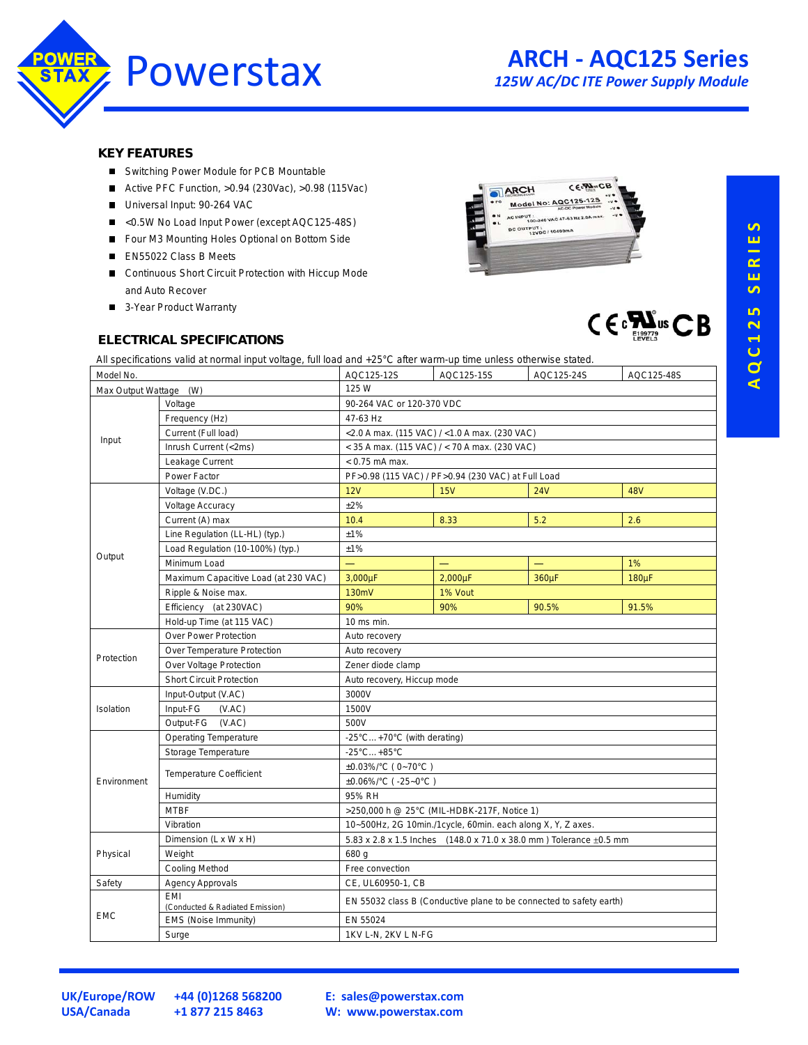

 $C \in \mathbb{R}^{\sum_{\text{EQU27}}^{\infty}}$ us  $CB$ 

**KEY FEATURES** 

- Switching Power Module for PCB Mountable
- $\blacksquare$ Active PFC Function, >0.94 (230Vac), >0.98 (115Vac)
- Universal Input: 90-264 VAC
- $\blacksquare$ <0.5W No Load Input Power (except AQC125-48S)
- Four M3 Mounting Holes Optional on Bottom Side
- EN55022 Class B Meets
- Continuous Short Circuit Protection with Hiccup Mode and Auto Recover
- 3-Year Product Warranty



### **ELECTRICAL SPECIFICATIONS**

All specifications valid at normal input voltage, full load and +25°C after warm-up time unless otherwise stated.

| Model No.              |                                        | AQC125-12S                                                              | AQC125-15S | AQC125-24S | AQC125-48S |
|------------------------|----------------------------------------|-------------------------------------------------------------------------|------------|------------|------------|
| Max Output Wattage (W) |                                        | 125 W                                                                   |            |            |            |
| Input                  | Voltage                                | 90-264 VAC or 120-370 VDC                                               |            |            |            |
|                        | Frequency (Hz)                         | 47-63 Hz                                                                |            |            |            |
|                        | Current (Full load)                    | <2.0 A max. (115 VAC) / <1.0 A max. (230 VAC)                           |            |            |            |
|                        | Inrush Current (<2ms)                  | < 35 A max. (115 VAC) / < 70 A max. (230 VAC)                           |            |            |            |
|                        | Leakage Current                        | $< 0.75$ mA max.                                                        |            |            |            |
|                        | Power Factor                           | PF>0.98 (115 VAC) / PF>0.94 (230 VAC) at Full Load                      |            |            |            |
| Output                 | Voltage (V.DC.)                        | 12V                                                                     | 15V        | <b>24V</b> | <b>48V</b> |
|                        | Voltage Accuracy                       | ±2%                                                                     |            |            |            |
|                        | Current (A) max                        | 10.4                                                                    | 8.33       | 5.2        | 2.6        |
|                        | Line Regulation (LL-HL) (typ.)         | ±1%                                                                     |            |            |            |
|                        | Load Regulation (10-100%) (typ.)       | ±1%                                                                     |            |            |            |
|                        | Minimum Load                           |                                                                         |            |            | 1%         |
|                        | Maximum Capacitive Load (at 230 VAC)   | 3,000µF                                                                 | 2,000µF    | 360µF      | 180µF      |
|                        | Ripple & Noise max.                    | 130mV                                                                   | 1% Vout    |            |            |
|                        | Efficiency (at 230VAC)                 | 90%                                                                     | 90%        | 90.5%      | 91.5%      |
|                        | Hold-up Time (at 115 VAC)              | 10 ms min.                                                              |            |            |            |
| Protection             | Over Power Protection                  | Auto recovery                                                           |            |            |            |
|                        | Over Temperature Protection            | Auto recovery                                                           |            |            |            |
|                        | Over Voltage Protection                | Zener diode clamp                                                       |            |            |            |
|                        | <b>Short Circuit Protection</b>        | Auto recovery, Hiccup mode                                              |            |            |            |
| Isolation              | Input-Output (V.AC)                    | 3000V                                                                   |            |            |            |
|                        | Input-FG<br>(VAC)                      | 1500V                                                                   |            |            |            |
|                        | Output-FG (V.AC)                       | 500V                                                                    |            |            |            |
| Environment            | <b>Operating Temperature</b>           | -25°C+70°C (with derating)                                              |            |            |            |
|                        | Storage Temperature                    | $-25^{\circ}$ C +85 $^{\circ}$ C                                        |            |            |            |
|                        | <b>Temperature Coefficient</b>         | ±0.03%/°C (0~70°C)                                                      |            |            |            |
|                        |                                        | ±0.06%/°C ( -25~0°C )                                                   |            |            |            |
|                        | Humidity                               | 95% RH                                                                  |            |            |            |
|                        | <b>MTBF</b>                            | >250,000 h @ 25°C (MIL-HDBK-217F, Notice 1)                             |            |            |            |
|                        | Vibration                              | 10~500Hz, 2G 10min./1cycle, 60min. each along X, Y, Z axes.             |            |            |            |
| Physical               | Dimension (L x W x H)                  | 5.83 x 2.8 x 1.5 Inches (148.0 x 71.0 x 38.0 mm) Tolerance $\pm$ 0.5 mm |            |            |            |
|                        | Weight                                 | 680 g                                                                   |            |            |            |
|                        | <b>Cooling Method</b>                  | Free convection                                                         |            |            |            |
| Safety                 | <b>Agency Approvals</b>                | CE, UL60950-1, CB                                                       |            |            |            |
| <b>EMC</b>             | FMI<br>(Conducted & Radiated Emission) | EN 55032 class B (Conductive plane to be connected to safety earth)     |            |            |            |
|                        | EMS (Noise Immunity)                   | EN 55024                                                                |            |            |            |
|                        | Surge                                  | 1KV L-N, 2KV L N-FG                                                     |            |            |            |

**USA/Canada +1 877 215 8463**

**UK/Europe/ROW +44 (0)1268 568200**

**E: [sales@powerstax.com](mailto:sales%40powerstax.com?subject=AQC125) W: [www.powerstax.com](http://www.powerstax.com)**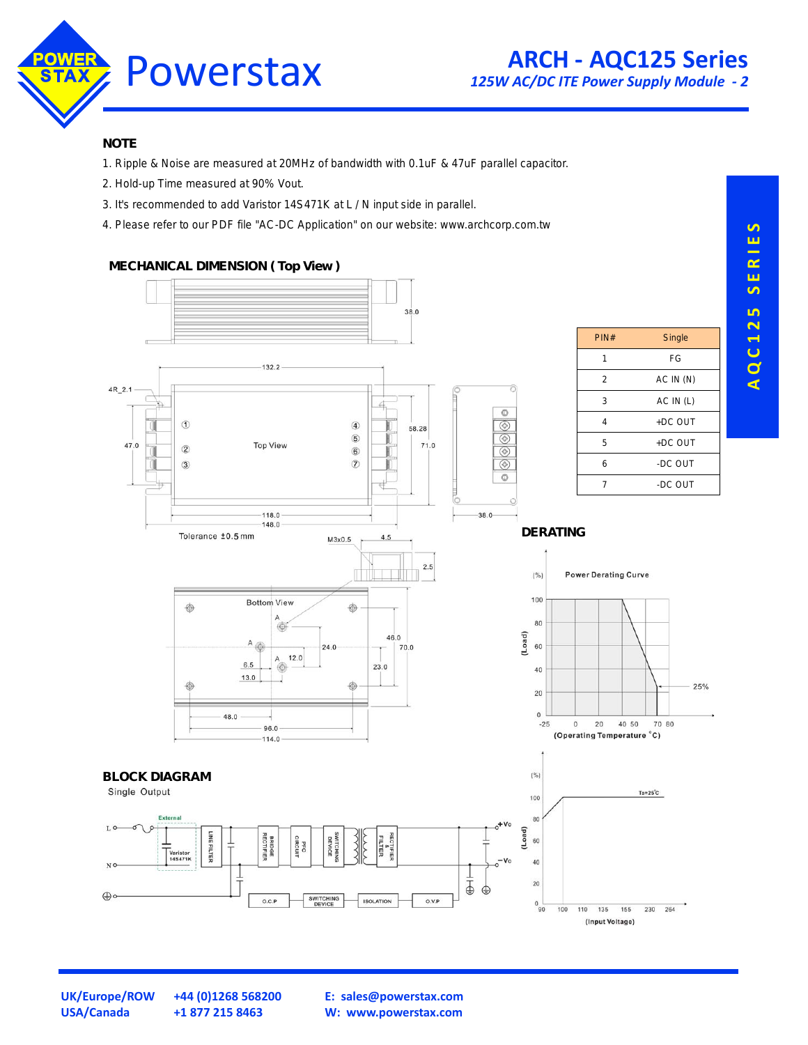

### **NOTE**

- 1. Ripple & Noise are measured at 20MHz of bandwidth with 0.1uF & 47uF parallel capacitor.
- 2. Hold-up Time measured at 90% Vout.
- 3. It's recommended to add Varistor 14S471K at L / N input side in parallel.
- 4. Please refer to our PDF file "AC-DC Application" on our website: www.archcorp.com.tw

### **MECHANICAL DIMENSION ( Top View )**



**UK/Europe/ROW +44 (0)1268 568200 USA/Canada +1 877 215 8463**

**E: [sales@powerstax.com](mailto:sales%40powerstax.com?subject=AQC125) W: [www.powerstax.com](http://www.powerstax.com)**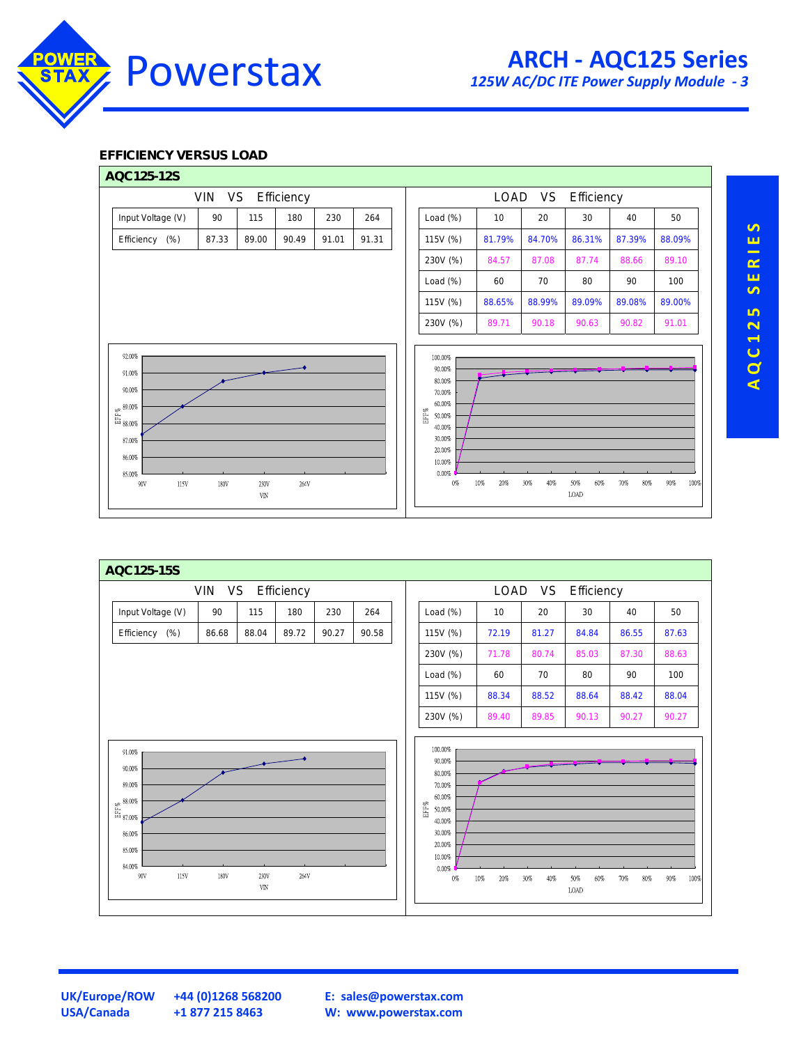

## **EFFICIENCY VERSUS LOAD**





AQC125 SERIES **A Q C 1 2 5 S E R I E S**

**USA/Canada +1 877 215 8463**

**UK/Europe/ROW +44 (0)1268 568200**

**E: [sales@powerstax.com](mailto:sales%40powerstax.com?subject=AQC125) W: [www.powerstax.com](http://www.powerstax.com)**